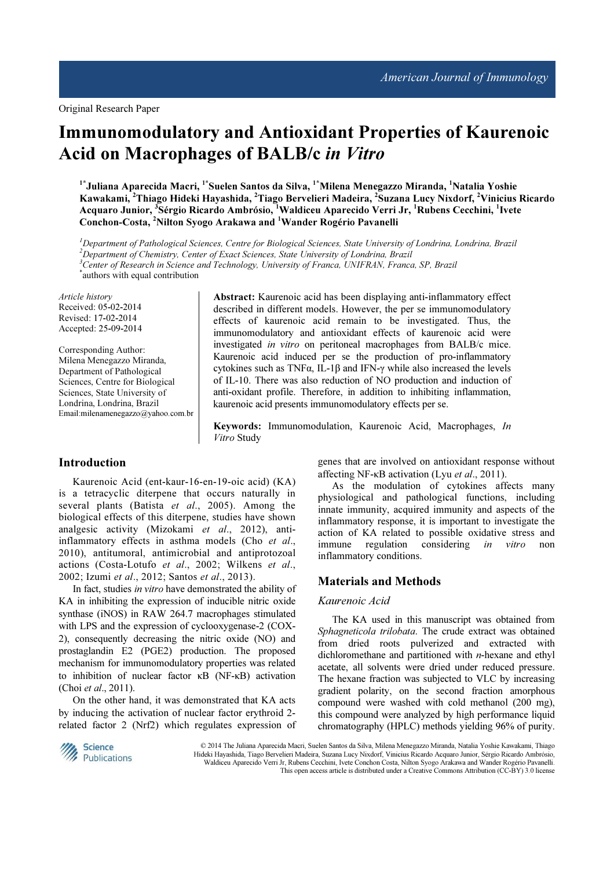# Immunomodulatory and Antioxidant Properties of Kaurenoic Acid on Macrophages of BALB/c in Vitro

<sup>1\*</sup>Juliana Aparecida Macri, <sup>1\*</sup>Suelen Santos da Silva, <sup>1\*</sup>Milena Menegazzo Miranda, <sup>1</sup>Natalia Yoshie Kawakami, <sup>2</sup>Thiago Hideki Hayashida, <sup>2</sup>Tiago Bervelieri Madeira, <sup>2</sup>Suzana Lucy Nixdorf, <sup>2</sup>Vinicius Ricardo Acquaro Junior, <sup>3</sup> Sérgio Ricardo Ambrósio, <sup>1</sup>Waldiceu Aparecido Verri Jr, <sup>1</sup>Rubens Cecchini, <sup>1</sup>Ivete Conchon-Costa, <sup>2</sup>Nilton Syogo Arakawa and <sup>1</sup>Wander Rogério Pavanelli

 ${}^{1}$ Department of Pathological Sciences, Centre for Biological Sciences, State University of Londrina, Londrina, Brazil  $2D$ epartment of Chemistry, Center of Exact Sciences, State University of Londrina, Brazil <sup>3</sup>Center of Research in Science and Technology, University of Franca, UNIFRAN, Franca, SP, Brazil \* authors with equal contribution

Article history Received: 05-02-2014 Revised: 17-02-2014 Accepted: 25-09-2014

Corresponding Author: Milena Menegazzo Miranda, Department of Pathological Sciences, Centre for Biological Sciences, State University of Londrina, Londrina, Brazil Email:milenamenegazzo@yahoo.com.br

## Abstract: Kaurenoic acid has been displaying anti-inflammatory effect described in different models. However, the per se immunomodulatory effects of kaurenoic acid remain to be investigated. Thus, the immunomodulatory and antioxidant effects of kaurenoic acid were investigated in vitro on peritoneal macrophages from BALB/c mice. Kaurenoic acid induced per se the production of pro-inflammatory cytokines such as TNFα, IL-1β and IFN-γ while also increased the levels of IL-10. There was also reduction of NO production and induction of anti-oxidant profile. Therefore, in addition to inhibiting inflammation, kaurenoic acid presents immunomodulatory effects per se.

Keywords: Immunomodulation, Kaurenoic Acid, Macrophages, In Vitro Study

# Introduction

Kaurenoic Acid (ent-kaur-16-en-19-oic acid) (KA) is a tetracyclic diterpene that occurs naturally in several plants (Batista et al., 2005). Among the biological effects of this diterpene, studies have shown analgesic activity (Mizokami et al., 2012), antiinflammatory effects in asthma models (Cho et al., 2010), antitumoral, antimicrobial and antiprotozoal actions (Costa-Lotufo et al., 2002; Wilkens et al., 2002; Izumi et al., 2012; Santos et al., 2013).

In fact, studies in vitro have demonstrated the ability of KA in inhibiting the expression of inducible nitric oxide synthase (iNOS) in RAW 264.7 macrophages stimulated with LPS and the expression of cyclooxygenase-2 (COX-2), consequently decreasing the nitric oxide (NO) and prostaglandin E2 (PGE2) production. The proposed mechanism for immunomodulatory properties was related to inhibition of nuclear factor κB (NF-κB) activation (Choi et al., 2011).

On the other hand, it was demonstrated that KA acts by inducing the activation of nuclear factor erythroid 2 related factor 2 (Nrf2) which regulates expression of genes that are involved on antioxidant response without affecting NF-κB activation (Lyu et al., 2011).

As the modulation of cytokines affects many physiological and pathological functions, including innate immunity, acquired immunity and aspects of the inflammatory response, it is important to investigate the action of KA related to possible oxidative stress and immune regulation considering *in vitro* non inflammatory conditions.

#### Materials and Methods

#### Kaurenoic Acid

The KA used in this manuscript was obtained from Sphagneticola trilobata. The crude extract was obtained from dried roots pulverized and extracted with dichloromethane and partitioned with  $n$ -hexane and ethyl acetate, all solvents were dried under reduced pressure. The hexane fraction was subjected to VLC by increasing gradient polarity, on the second fraction amorphous compound were washed with cold methanol (200 mg), this compound were analyzed by high performance liquid chromatography (HPLC) methods yielding 96% of purity.



 © 2014 The Juliana Aparecida Macri, Suelen Santos da Silva, Milena Menegazzo Miranda, Natalia Yoshie Kawakami, Thiago Hideki Hayashida, Tiago Bervelieri Madeira, Suzana Lucy Nixdorf, Vinicius Ricardo Acquaro Junior, Sérgio Ricardo Ambrósio, Waldiceu Aparecido Verri Jr, Rubens Cecchini, Ivete Conchon Costa, Nilton Syogo Arakawa and Wander Rogério Pavanelli. This open access article is distributed under a Creative Commons Attribution (CC-BY) 3.0 license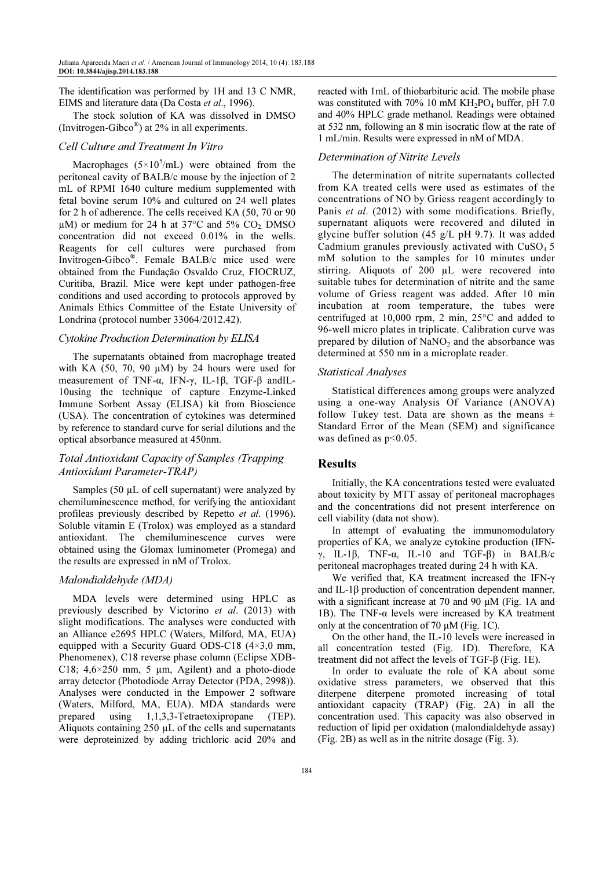The identification was performed by 1H and 13 C NMR, EIMS and literature data (Da Costa et al., 1996).

The stock solution of KA was dissolved in DMSO (Invitrogen-Gibco®) at  $2\%$  in all experiments.

## Cell Culture and Treatment In Vitro

Macrophages  $(5 \times 10^5$ /mL) were obtained from the peritoneal cavity of BALB/c mouse by the injection of 2 mL of RPMI 1640 culture medium supplemented with fetal bovine serum 10% and cultured on 24 well plates for 2 h of adherence. The cells received KA (50, 70 or 90  $\mu$ M) or medium for 24 h at 37 $\degree$ C and 5% CO<sub>2</sub>. DMSO concentration did not exceed 0.01% in the wells. Reagents for cell cultures were purchased from Invitrogen-Gibco® . Female BALB/c mice used were obtained from the Fundação Osvaldo Cruz, FIOCRUZ, Curitiba, Brazil. Mice were kept under pathogen-free conditions and used according to protocols approved by Animals Ethics Committee of the Estate University of Londrina (protocol number 33064/2012.42).

#### Cytokine Production Determination by ELISA

The supernatants obtained from macrophage treated with KA (50, 70, 90  $\mu$ M) by 24 hours were used for measurement of TNF- $\alpha$ , IFN- $\gamma$ , IL-1β, TGF-β andIL-10using the technique of capture Enzyme-Linked Immune Sorbent Assay (ELISA) kit from Bioscience (USA). The concentration of cytokines was determined by reference to standard curve for serial dilutions and the optical absorbance measured at 450nm.

## Total Antioxidant Capacity of Samples (Trapping Antioxidant Parameter-TRAP)

Samples (50 µL of cell supernatant) were analyzed by chemiluminescence method, for verifying the antioxidant profileas previously described by Repetto et al. (1996). Soluble vitamin E (Trolox) was employed as a standard antioxidant. The chemiluminescence curves were obtained using the Glomax luminometer (Promega) and the results are expressed in nM of Trolox.

## Malondialdehyde (MDA)

MDA levels were determined using HPLC as previously described by Victorino et al. (2013) with slight modifications. The analyses were conducted with an Alliance e2695 HPLC (Waters, Milford, MA, EUA) equipped with a Security Guard ODS-C18  $(4\times3.0 \text{ mm})$ , Phenomenex), C18 reverse phase column (Eclipse XDB-C18;  $4,6 \times 250$  mm, 5 µm, Agilent) and a photo-diode array detector (Photodiode Array Detector (PDA, 2998)). Analyses were conducted in the Empower 2 software (Waters, Milford, MA, EUA). MDA standards were prepared using 1,1,3,3-Tetraetoxipropane (TEP). Aliquots containing 250 µL of the cells and supernatants were deproteinized by adding trichloric acid 20% and

reacted with 1mL of thiobarbituric acid. The mobile phase was constituted with 70% 10 mM  $KH_2PO_4$  buffer, pH 7.0 and 40% HPLC grade methanol. Readings were obtained at 532 nm, following an 8 min isocratic flow at the rate of 1 mL/min. Results were expressed in nM of MDA.

## Determination of Nitrite Levels

The determination of nitrite supernatants collected from KA treated cells were used as estimates of the concentrations of NO by Griess reagent accordingly to Panis et al. (2012) with some modifications. Briefly, supernatant aliquots were recovered and diluted in glycine buffer solution (45 g/L pH 9.7). It was added Cadmium granules previously activated with  $CuSO<sub>4</sub> 5$ mM solution to the samples for 10 minutes under stirring. Aliquots of 200 µL were recovered into suitable tubes for determination of nitrite and the same volume of Griess reagent was added. After 10 min incubation at room temperature, the tubes were centrifuged at 10,000 rpm, 2 min, 25°C and added to 96-well micro plates in triplicate. Calibration curve was prepared by dilution of  $NaNO<sub>2</sub>$  and the absorbance was determined at 550 nm in a microplate reader.

#### Statistical Analyses

Statistical differences among groups were analyzed using a one-way Analysis Of Variance (ANOVA) follow Tukey test. Data are shown as the means  $\pm$ Standard Error of the Mean (SEM) and significance was defined as  $p<0.05$ .

## Results

Initially, the KA concentrations tested were evaluated about toxicity by MTT assay of peritoneal macrophages and the concentrations did not present interference on cell viability (data not show).

In attempt of evaluating the immunomodulatory properties of KA, we analyze cytokine production (IFNγ, IL-1β, TNF-α, IL-10 and TGF-β) in BALB/c peritoneal macrophages treated during 24 h with KA.

We verified that, KA treatment increased the IFN-γ and IL-1β production of concentration dependent manner, with a significant increase at 70 and 90 µM (Fig. 1A and 1B). The TNF- $α$  levels were increased by KA treatment only at the concentration of 70 µM (Fig. 1C).

On the other hand, the IL-10 levels were increased in all concentration tested (Fig. 1D). Therefore, KA treatment did not affect the levels of TGF-β (Fig. 1E).

In order to evaluate the role of KA about some oxidative stress parameters, we observed that this diterpene diterpene promoted increasing of total antioxidant capacity (TRAP) (Fig. 2A) in all the concentration used. This capacity was also observed in reduction of lipid per oxidation (malondialdehyde assay) (Fig. 2B) as well as in the nitrite dosage (Fig. 3).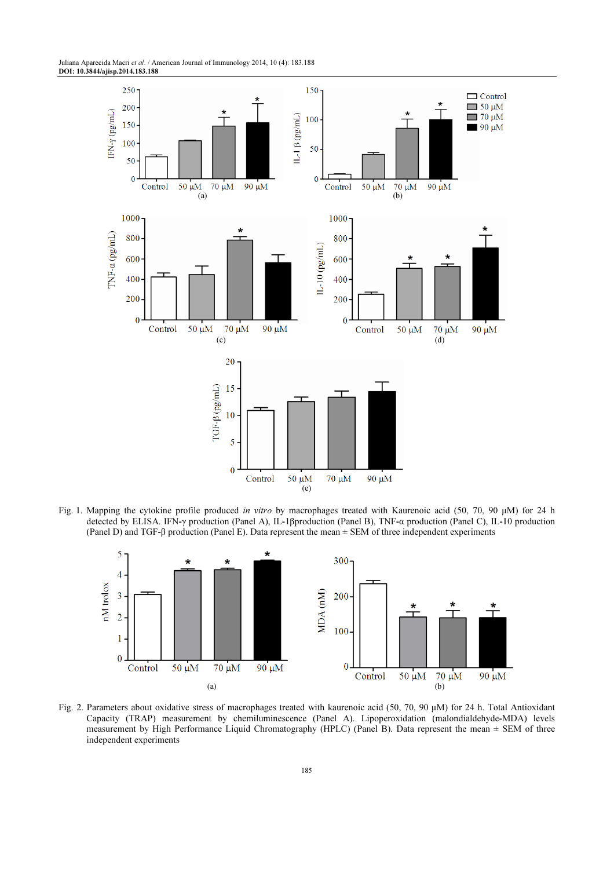Juliana Aparecida Macri et al. / American Journal of Immunology 2014, 10 (4): 183.188 DOI: 10.3844/ajisp.2014.183.188



Fig. 1. Mapping the cytokine profile produced in vitro by macrophages treated with Kaurenoic acid (50, 70, 90 µM) for 24 h detected by ELISA. IFN-γ production (Panel A), IL-1βproduction (Panel B), TNF-α production (Panel C), IL-10 production (Panel D) and TGF-β production (Panel E). Data represent the mean ± SEM of three independent experiments



Fig. 2. Parameters about oxidative stress of macrophages treated with kaurenoic acid (50, 70, 90 µM) for 24 h. Total Antioxidant Capacity (TRAP) measurement by chemiluminescence (Panel A). Lipoperoxidation (malondialdehyde-MDA) levels measurement by High Performance Liquid Chromatography (HPLC) (Panel B). Data represent the mean  $\pm$  SEM of three independent experiments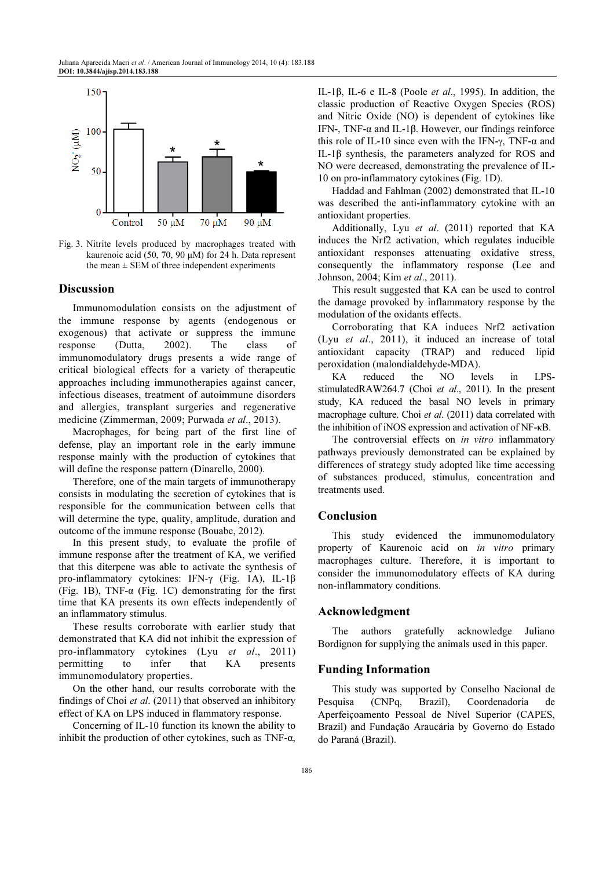

Fig. 3. Nitrite levels produced by macrophages treated with kaurenoic acid (50, 70, 90 µM) for 24 h. Data represent the mean  $\pm$  SEM of three independent experiments

#### Discussion

Immunomodulation consists on the adjustment of the immune response by agents (endogenous or exogenous) that activate or suppress the immune response (Dutta, 2002). The class of immunomodulatory drugs presents a wide range of critical biological effects for a variety of therapeutic approaches including immunotherapies against cancer, infectious diseases, treatment of autoimmune disorders and allergies, transplant surgeries and regenerative medicine (Zimmerman, 2009; Purwada et al., 2013).

Macrophages, for being part of the first line of defense, play an important role in the early immune response mainly with the production of cytokines that will define the response pattern (Dinarello, 2000).

Therefore, one of the main targets of immunotherapy consists in modulating the secretion of cytokines that is responsible for the communication between cells that will determine the type, quality, amplitude, duration and outcome of the immune response (Bouabe, 2012).

In this present study, to evaluate the profile of immune response after the treatment of KA, we verified that this diterpene was able to activate the synthesis of pro-inflammatory cytokines: IFN-γ (Fig. 1A), IL-1β (Fig. 1B), TNF- $\alpha$  (Fig. 1C) demonstrating for the first time that KA presents its own effects independently of an inflammatory stimulus.

These results corroborate with earlier study that demonstrated that KA did not inhibit the expression of pro-inflammatory cytokines (Lyu et al., 2011) permitting to infer that KA presents immunomodulatory properties.

On the other hand, our results corroborate with the findings of Choi et al. (2011) that observed an inhibitory effect of KA on LPS induced in flammatory response.

Concerning of IL-10 function its known the ability to inhibit the production of other cytokines, such as  $TNF-\alpha$ ,

IL-1 $\beta$ , IL-6 e IL-8 (Poole *et al.*, 1995). In addition, the classic production of Reactive Oxygen Species (ROS) and Nitric Oxide (NO) is dependent of cytokines like IFN-, TNF-α and IL-1β. However, our findings reinforce this role of IL-10 since even with the IFN-γ, TNF- $α$  and IL-1β synthesis, the parameters analyzed for ROS and NO were decreased, demonstrating the prevalence of IL-10 on pro-inflammatory cytokines (Fig. 1D).

Haddad and Fahlman (2002) demonstrated that IL-10 was described the anti-inflammatory cytokine with an antioxidant properties.

Additionally, Lyu et al. (2011) reported that KA induces the Nrf2 activation, which regulates inducible antioxidant responses attenuating oxidative stress, consequently the inflammatory response (Lee and Johnson, 2004; Kim et al., 2011).

This result suggested that KA can be used to control the damage provoked by inflammatory response by the modulation of the oxidants effects.

Corroborating that KA induces Nrf2 activation (Lyu et al., 2011), it induced an increase of total antioxidant capacity (TRAP) and reduced lipid peroxidation (malondialdehyde-MDA).

KA reduced the NO levels in LPSstimulatedRAW264.7 (Choi et al., 2011). In the present study, KA reduced the basal NO levels in primary macrophage culture. Choi et al. (2011) data correlated with the inhibition of iNOS expression and activation of NF-κB.

The controversial effects on in vitro inflammatory pathways previously demonstrated can be explained by differences of strategy study adopted like time accessing of substances produced, stimulus, concentration and treatments used.

## Conclusion

This study evidenced the immunomodulatory property of Kaurenoic acid on in vitro primary macrophages culture. Therefore, it is important to consider the immunomodulatory effects of KA during non-inflammatory conditions.

#### Acknowledgment

The authors gratefully acknowledge Juliano Bordignon for supplying the animals used in this paper.

#### Funding Information

This study was supported by Conselho Nacional de Pesquisa (CNPq, Brazil), Coordenadoria de Aperfeiçoamento Pessoal de Nível Superior (CAPES, Brazil) and Fundação Araucária by Governo do Estado do Paraná (Brazil).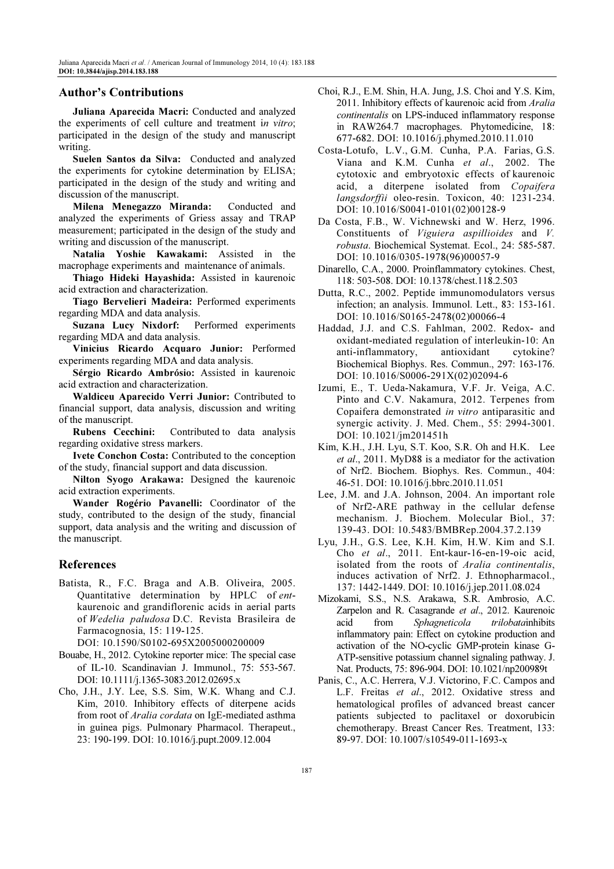## Author's Contributions

Juliana Aparecida Macri: Conducted and analyzed the experiments of cell culture and treatment in vitro; participated in the design of the study and manuscript writing.

Suelen Santos da Silva: Conducted and analyzed the experiments for cytokine determination by ELISA; participated in the design of the study and writing and discussion of the manuscript.

Milena Menegazzo Miranda: Conducted and analyzed the experiments of Griess assay and TRAP measurement; participated in the design of the study and writing and discussion of the manuscript.

Natalia Yoshie Kawakami: Assisted in the macrophage experiments and maintenance of animals.

Thiago Hideki Hayashida: Assisted in kaurenoic acid extraction and characterization.

Tiago Bervelieri Madeira: Performed experiments regarding MDA and data analysis.

Suzana Lucy Nixdorf: Performed experiments regarding MDA and data analysis.

Vinicius Ricardo Acquaro Junior: Performed experiments regarding MDA and data analysis.

Sérgio Ricardo Ambrósio: Assisted in kaurenoic acid extraction and characterization.

Waldiceu Aparecido Verri Junior: Contributed to financial support, data analysis, discussion and writing of the manuscript.

Rubens Cecchini: Contributed to data analysis regarding oxidative stress markers.

Ivete Conchon Costa: Contributed to the conception of the study, financial support and data discussion.

Nilton Syogo Arakawa: Designed the kaurenoic acid extraction experiments.

Wander Rogério Pavanelli: Coordinator of the study, contributed to the design of the study, financial support, data analysis and the writing and discussion of the manuscript.

## References

Batista, R., F.C. Braga and A.B. Oliveira, 2005. Quantitative determination by HPLC of entkaurenoic and grandiflorenic acids in aerial parts of Wedelia paludosa D.C. Revista Brasileira de Farmacognosia, 15: 119-125.

DOI: 10.1590/S0102-695X2005000200009

- Bouabe, H., 2012. Cytokine reporter mice: The special case of IL-10. Scandinavian J. Immunol., 75: 553-567. DOI: 10.1111/j.1365-3083.2012.02695.x
- Cho, J.H., J.Y. Lee, S.S. Sim, W.K. Whang and C.J. Kim, 2010. Inhibitory effects of diterpene acids from root of Aralia cordata on IgE-mediated asthma in guinea pigs. Pulmonary Pharmacol. Therapeut., 23: 190-199. DOI: 10.1016/j.pupt.2009.12.004
- Choi, R.J., E.M. Shin, H.A. Jung, J.S. Choi and Y.S. Kim, 2011. Inhibitory effects of kaurenoic acid from Aralia continentalis on LPS-induced inflammatory response in RAW264.7 macrophages. Phytomedicine, 18: 677-682. DOI: 10.1016/j.phymed.2010.11.010
- Costa-Lotufo, L.V., G.M. Cunha, P.A. Farias, G.S. Viana and K.M. Cunha et al., 2002. The cytotoxic and embryotoxic effects of kaurenoic acid, a diterpene isolated from Copaifera langsdorffii oleo-resin. Toxicon, 40: 1231-234. DOI: 10.1016/S0041-0101(02)00128-9
- Da Costa, F.B., W. Vichnewski and W. Herz, 1996. Constituents of Viguiera aspillioides and V. robusta. Biochemical Systemat. Ecol., 24: 585-587. DOI: 10.1016/0305-1978(96)00057-9
- Dinarello, C.A., 2000. Proinflammatory cytokines. Chest, 118: 503-508. DOI: 10.1378/chest.118.2.503
- Dutta, R.C., 2002. Peptide immunomodulators versus infection; an analysis. Immunol. Lett., 83: 153-161. DOI: 10.1016/S0165-2478(02)00066-4
- Haddad, J.J. and C.S. Fahlman, 2002. Redox- and oxidant-mediated regulation of interleukin-10: An anti-inflammatory, antioxidant cytokine? Biochemical Biophys. Res. Commun., 297: 163-176. DOI: 10.1016/S0006-291X(02)02094-6
- Izumi, E., T. Ueda-Nakamura, V.F. Jr. Veiga, A.C. Pinto and C.V. Nakamura, 2012. Terpenes from Copaifera demonstrated in vitro antiparasitic and synergic activity. J. Med. Chem., 55: 2994-3001. DOI: 10.1021/jm201451h
- Kim, K.H., J.H. Lyu, S.T. Koo, S.R. Oh and H.K. Lee et al., 2011. MyD88 is a mediator for the activation of Nrf2. Biochem. Biophys. Res. Commun., 404: 46-51. DOI: 10.1016/j.bbrc.2010.11.051
- Lee, J.M. and J.A. Johnson, 2004. An important role of Nrf2-ARE pathway in the cellular defense mechanism. J. Biochem. Molecular Biol., 37: 139-43. DOI: 10.5483/BMBRep.2004.37.2.139
- Lyu, J.H., G.S. Lee, K.H. Kim, H.W. Kim and S.I. Cho et al., 2011. Ent-kaur-16-en-19-oic acid, isolated from the roots of Aralia continentalis, induces activation of Nrf2. J. Ethnopharmacol., 137: 1442-1449. DOI: 10.1016/j.jep.2011.08.024
- Mizokami, S.S., N.S. Arakawa, S.R. Ambrosio, A.C. Zarpelon and R. Casagrande et al., 2012. Kaurenoic acid from Sphagneticola trilobatainhibits inflammatory pain: Effect on cytokine production and activation of the NO-cyclic GMP-protein kinase G-ATP-sensitive potassium channel signaling pathway. J. Nat. Products, 75: 896-904. DOI: 10.1021/np200989t
- Panis, C., A.C. Herrera, V.J. Victorino, F.C. Campos and L.F. Freitas et al., 2012. Oxidative stress and hematological profiles of advanced breast cancer patients subjected to paclitaxel or doxorubicin chemotherapy. Breast Cancer Res. Treatment, 133: 89-97. DOI: 10.1007/s10549-011-1693-x